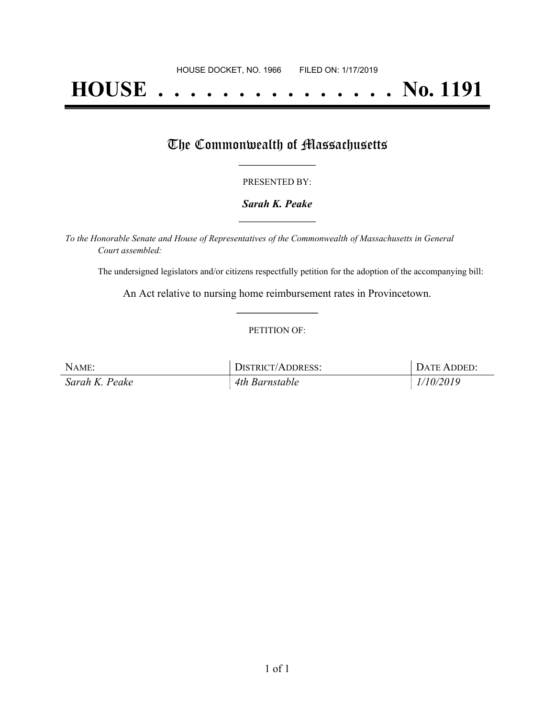# **HOUSE . . . . . . . . . . . . . . . No. 1191**

## The Commonwealth of Massachusetts

#### PRESENTED BY:

#### *Sarah K. Peake* **\_\_\_\_\_\_\_\_\_\_\_\_\_\_\_\_\_**

*To the Honorable Senate and House of Representatives of the Commonwealth of Massachusetts in General Court assembled:*

The undersigned legislators and/or citizens respectfully petition for the adoption of the accompanying bill:

An Act relative to nursing home reimbursement rates in Provincetown. **\_\_\_\_\_\_\_\_\_\_\_\_\_\_\_**

#### PETITION OF:

| NAME:          | DISTRICT/ADDRESS: | DATE ADDED: |
|----------------|-------------------|-------------|
| Sarah K. Peake | 4th Barnstable    | 1/10/2019   |